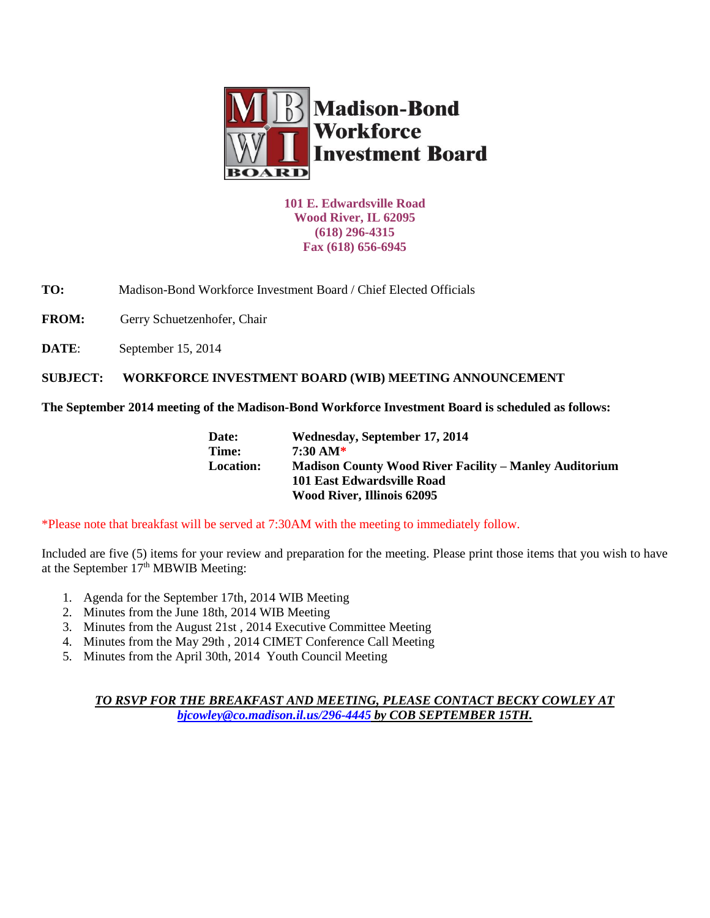

**101 E. Edwardsville Road Wood River, IL 62095 (618) 296-4315 Fax (618) 656-6945**

**TO:** Madison-Bond Workforce Investment Board / Chief Elected Officials

FROM: Gerry Schuetzenhofer, Chair

**DATE:** September 15, 2014

**SUBJECT: WORKFORCE INVESTMENT BOARD (WIB) MEETING ANNOUNCEMENT** 

**The September 2014 meeting of the Madison-Bond Workforce Investment Board is scheduled as follows:**

| Date:            | Wednesday, September 17, 2014                                 |
|------------------|---------------------------------------------------------------|
| Time:            | 7:30 AM*                                                      |
| <b>Location:</b> | <b>Madison County Wood River Facility – Manley Auditorium</b> |
|                  | 101 East Edwardsville Road                                    |
|                  | <b>Wood River, Illinois 62095</b>                             |

\*Please note that breakfast will be served at 7:30AM with the meeting to immediately follow.

Included are five (5) items for your review and preparation for the meeting. Please print those items that you wish to have at the September 17<sup>th</sup> MBWIB Meeting:

- 1. Agenda for the September 17th, 2014 WIB Meeting
- 2. Minutes from the June 18th, 2014 WIB Meeting
- 3. Minutes from the August 21st , 2014 Executive Committee Meeting
- 4. Minutes from the May 29th , 2014 CIMET Conference Call Meeting
- 5. Minutes from the April 30th, 2014 Youth Council Meeting

*TO RSVP FOR THE BREAKFAST AND MEETING, PLEASE CONTACT BECKY COWLEY AT [bjcowley@co.madison.il.us/](mailto:bjcowley@co.madison.il.us)296-4445 by COB SEPTEMBER 15TH.*